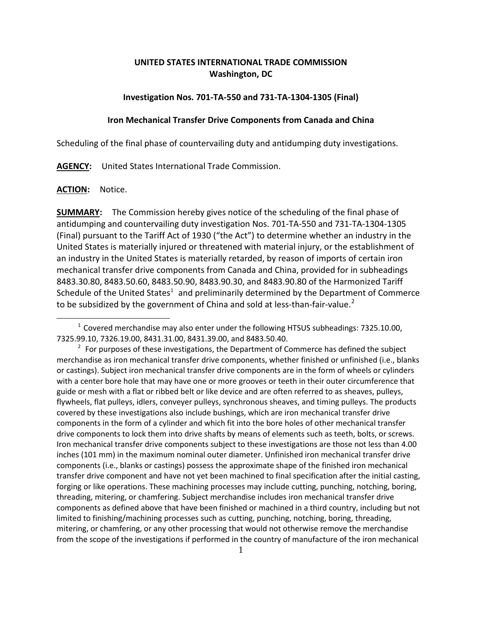# **UNITED STATES INTERNATIONAL TRADE COMMISSION Washington, DC**

#### **Investigation Nos. 701-TA-550 and 731-TA-1304-1305 (Final)**

### **Iron Mechanical Transfer Drive Components from Canada and China**

Scheduling of the final phase of countervailing duty and antidumping duty investigations.

**AGENCY:** United States International Trade Commission.

#### **ACTION:** Notice.

 $\overline{a}$ 

**SUMMARY:** The Commission hereby gives notice of the scheduling of the final phase of antidumping and countervailing duty investigation Nos. 701-TA-550 and 731-TA-1304-1305 (Final) pursuant to the Tariff Act of 1930 ("the Act") to determine whether an industry in the United States is materially injured or threatened with material injury, or the establishment of an industry in the United States is materially retarded, by reason of imports of certain iron mechanical transfer drive components from Canada and China, provided for in subheadings 8483.30.80, 8483.50.60, 8483.50.90, 8483.90.30, and 8483.90.80 of the Harmonized Tariff Schedule of the United States<sup>[1](#page-0-0)</sup> and preliminarily determined by the Department of Commerce to be subsidized by the government of China and sold at less-than-fair-value.<sup>[2](#page-0-1)</sup>

<span id="page-0-0"></span> $1$  Covered merchandise may also enter under the following HTSUS subheadings: 7325.10.00, 7325.99.10, 7326.19.00, 8431.31.00, 8431.39.00, and 8483.50.40.

<span id="page-0-1"></span> $2^2$  For purposes of these investigations, the Department of Commerce has defined the subject merchandise as iron mechanical transfer drive components, whether finished or unfinished (i.e., blanks or castings). Subject iron mechanical transfer drive components are in the form of wheels or cylinders with a center bore hole that may have one or more grooves or teeth in their outer circumference that guide or mesh with a flat or ribbed belt or like device and are often referred to as sheaves, pulleys, flywheels, flat pulleys, idlers, conveyer pulleys, synchronous sheaves, and timing pulleys. The products covered by these investigations also include bushings, which are iron mechanical transfer drive components in the form of a cylinder and which fit into the bore holes of other mechanical transfer drive components to lock them into drive shafts by means of elements such as teeth, bolts, or screws. Iron mechanical transfer drive components subject to these investigations are those not less than 4.00 inches (101 mm) in the maximum nominal outer diameter. Unfinished iron mechanical transfer drive components (i.e., blanks or castings) possess the approximate shape of the finished iron mechanical transfer drive component and have not yet been machined to final specification after the initial casting, forging or like operations. These machining processes may include cutting, punching, notching, boring, threading, mitering, or chamfering. Subject merchandise includes iron mechanical transfer drive components as defined above that have been finished or machined in a third country, including but not limited to finishing/machining processes such as cutting, punching, notching, boring, threading, mitering, or chamfering, or any other processing that would not otherwise remove the merchandise from the scope of the investigations if performed in the country of manufacture of the iron mechanical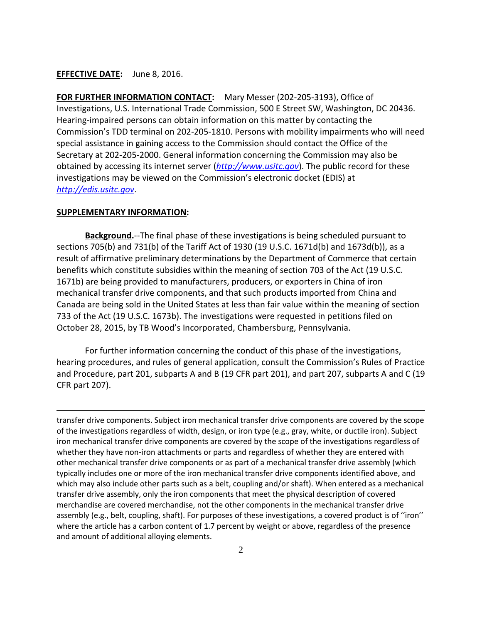## **EFFECTIVE DATE:** June 8, 2016.

**FOR FURTHER INFORMATION CONTACT:** Mary Messer (202-205-3193), Office of Investigations, U.S. International Trade Commission, 500 E Street SW, Washington, DC 20436. Hearing-impaired persons can obtain information on this matter by contacting the Commission's TDD terminal on 202-205-1810. Persons with mobility impairments who will need special assistance in gaining access to the Commission should contact the Office of the Secretary at 202-205-2000. General information concerning the Commission may also be obtained by accessing its internet server (*[http://www.usitc.gov](http://www.usitc.gov/)*). The public record for these investigations may be viewed on the Commission's electronic docket (EDIS) at *[http://edis.usitc.gov](http://edis.usitc.gov/)*.

#### **SUPPLEMENTARY INFORMATION:**

 $\overline{a}$ 

**Background.**--The final phase of these investigations is being scheduled pursuant to sections 705(b) and 731(b) of the Tariff Act of 1930 (19 U.S.C. 1671d(b) and 1673d(b)), as a result of affirmative preliminary determinations by the Department of Commerce that certain benefits which constitute subsidies within the meaning of section 703 of the Act (19 U.S.C. 1671b) are being provided to manufacturers, producers, or exporters in China of iron mechanical transfer drive components, and that such products imported from China and Canada are being sold in the United States at less than fair value within the meaning of section 733 of the Act (19 U.S.C. 1673b). The investigations were requested in petitions filed on October 28, 2015, by TB Wood's Incorporated, Chambersburg, Pennsylvania.

For further information concerning the conduct of this phase of the investigations, hearing procedures, and rules of general application, consult the Commission's Rules of Practice and Procedure, part 201, subparts A and B (19 CFR part 201), and part 207, subparts A and C (19 CFR part 207).

transfer drive components. Subject iron mechanical transfer drive components are covered by the scope of the investigations regardless of width, design, or iron type (e.g., gray, white, or ductile iron). Subject iron mechanical transfer drive components are covered by the scope of the investigations regardless of whether they have non-iron attachments or parts and regardless of whether they are entered with other mechanical transfer drive components or as part of a mechanical transfer drive assembly (which typically includes one or more of the iron mechanical transfer drive components identified above, and which may also include other parts such as a belt, coupling and/or shaft). When entered as a mechanical transfer drive assembly, only the iron components that meet the physical description of covered merchandise are covered merchandise, not the other components in the mechanical transfer drive assembly (e.g., belt, coupling, shaft). For purposes of these investigations, a covered product is of ''iron'' where the article has a carbon content of 1.7 percent by weight or above, regardless of the presence and amount of additional alloying elements.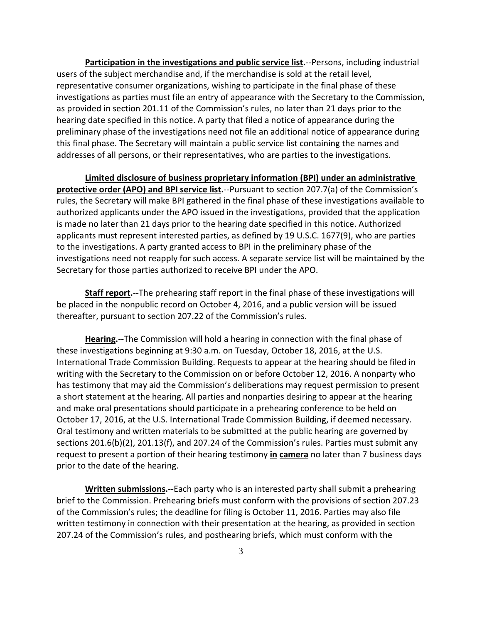**Participation in the investigations and public service list.**--Persons, including industrial users of the subject merchandise and, if the merchandise is sold at the retail level, representative consumer organizations, wishing to participate in the final phase of these investigations as parties must file an entry of appearance with the Secretary to the Commission, as provided in section 201.11 of the Commission's rules, no later than 21 days prior to the hearing date specified in this notice. A party that filed a notice of appearance during the preliminary phase of the investigations need not file an additional notice of appearance during this final phase. The Secretary will maintain a public service list containing the names and addresses of all persons, or their representatives, who are parties to the investigations.

**Limited disclosure of business proprietary information (BPI) under an administrative protective order (APO) and BPI service list.**--Pursuant to section 207.7(a) of the Commission's rules, the Secretary will make BPI gathered in the final phase of these investigations available to authorized applicants under the APO issued in the investigations, provided that the application is made no later than 21 days prior to the hearing date specified in this notice. Authorized applicants must represent interested parties, as defined by 19 U.S.C. 1677(9), who are parties to the investigations. A party granted access to BPI in the preliminary phase of the investigations need not reapply for such access. A separate service list will be maintained by the Secretary for those parties authorized to receive BPI under the APO.

**Staff report.**--The prehearing staff report in the final phase of these investigations will be placed in the nonpublic record on October 4, 2016, and a public version will be issued thereafter, pursuant to section 207.22 of the Commission's rules.

**Hearing.**--The Commission will hold a hearing in connection with the final phase of these investigations beginning at 9:30 a.m. on Tuesday, October 18, 2016, at the U.S. International Trade Commission Building. Requests to appear at the hearing should be filed in writing with the Secretary to the Commission on or before October 12, 2016. A nonparty who has testimony that may aid the Commission's deliberations may request permission to present a short statement at the hearing. All parties and nonparties desiring to appear at the hearing and make oral presentations should participate in a prehearing conference to be held on October 17, 2016, at the U.S. International Trade Commission Building, if deemed necessary. Oral testimony and written materials to be submitted at the public hearing are governed by sections 201.6(b)(2), 201.13(f), and 207.24 of the Commission's rules. Parties must submit any request to present a portion of their hearing testimony **in camera** no later than 7 business days prior to the date of the hearing.

**Written submissions.**--Each party who is an interested party shall submit a prehearing brief to the Commission. Prehearing briefs must conform with the provisions of section 207.23 of the Commission's rules; the deadline for filing is October 11, 2016. Parties may also file written testimony in connection with their presentation at the hearing, as provided in section 207.24 of the Commission's rules, and posthearing briefs, which must conform with the